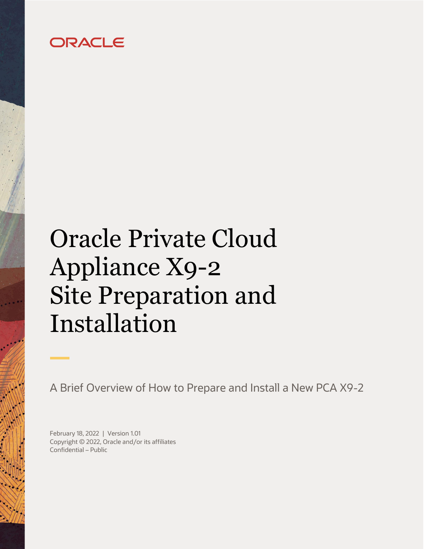## ORACLE

# <span id="page-0-0"></span>Oracle Private Cloud Appliance X9-2 Site Preparation and Installation

A Brief Overview of How to Prepare and Install a New PCA X9-2

<span id="page-0-3"></span><span id="page-0-2"></span><span id="page-0-1"></span>February 18, 2022 | Version 1.01 Copyright © 2022, Oracle and/or its affiliates Confidential – Public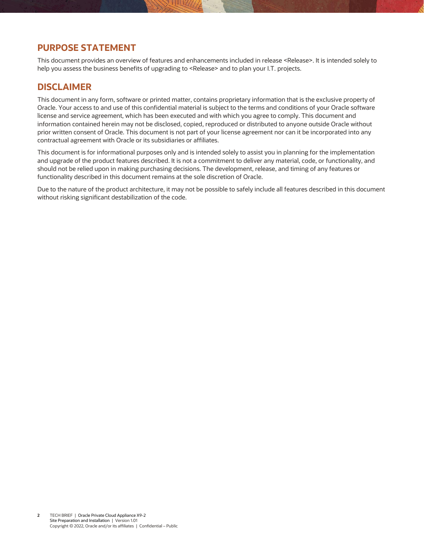#### <span id="page-1-1"></span>**PURPOSE STATEMENT**

<span id="page-1-0"></span>This document provides an overview of features and enhancements included in release <Release>. It is intended solely to help you assess the business benefits of upgrading to [<Release>](#page-1-0) and to plan your I.T. projects.

#### <span id="page-1-2"></span>**DISCLAIMER**

This document in any form, software or printed matter, contains proprietary information that is the exclusive property of Oracle. Your access to and use of this confidential material is subject to the terms and conditions of your Oracle software license and service agreement, which has been executed and with which you agree to comply. This document and information contained herein may not be disclosed, copied, reproduced or distributed to anyone outside Oracle without prior written consent of Oracle. This document is not part of your license agreement nor can it be incorporated into any contractual agreement with Oracle or its subsidiaries or affiliates.

This document is for informational purposes only and is intended solely to assist you in planning for the implementation and upgrade of the product features described. It is not a commitment to deliver any material, code, or functionality, and should not be relied upon in making purchasing decisions. The development, release, and timing of any features or functionality described in this document remains at the sole discretion of Oracle.

Due to the nature of the product architecture, it may not be possible to safely include all features described in this document without risking significant destabilization of the code.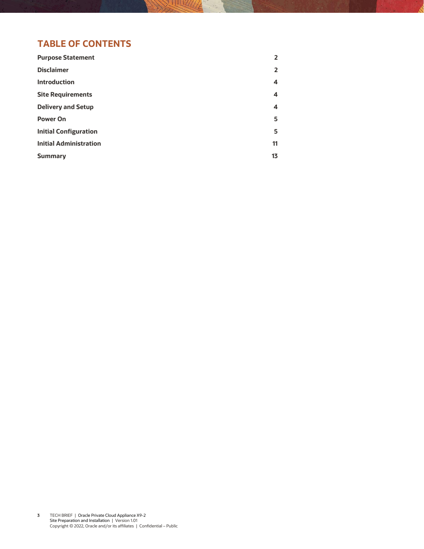### **TABLE OF CONTENTS**

| 2<br>4<br>4<br>4<br>5<br>5<br>11<br>13 | <b>Purpose Statement</b>      | 2 |
|----------------------------------------|-------------------------------|---|
|                                        | <b>Disclaimer</b>             |   |
|                                        | <b>Introduction</b>           |   |
|                                        | <b>Site Requirements</b>      |   |
|                                        | <b>Delivery and Setup</b>     |   |
|                                        | <b>Power On</b>               |   |
|                                        | <b>Initial Configuration</b>  |   |
|                                        | <b>Initial Administration</b> |   |
|                                        | <b>Summary</b>                |   |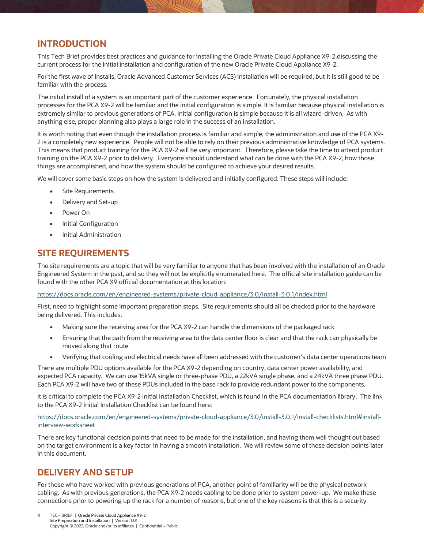#### <span id="page-3-0"></span>**INTRODUCTION**

This Tech Brief provides best practices and guidance for installing the Oracle Private Cloud Appliance X9-2.discussing the current process for the initial installation and configuration of the new Oracle Private Cloud Appliance X9-2.

For the first wave of installs, Oracle Advanced Customer Services (ACS) installation will be required, but it is still good to be familiar with the process.

The initial install of a system is an important part of the customer experience. Fortunately, the physical installation processes for the PCA X9-2 will be familiar and the initial configuration is simple. It is familiar because physical installation is extremely similar to previous generations of PCA. Initial configuration is simple because it is all wizard-driven. As with anything else, proper planning also plays a large role in the success of an installation.

It is worth noting that even though the installation process is familiar and simple, the administration and use of the PCA X9- 2 is a completely new experience. People will not be able to rely on their previous administrative knowledge of PCA systems. This means that product training for the PCA X9-2 will be very important. Therefore, please take the time to attend product training on the PCA X9-2 prior to delivery. Everyone should understand what can be done with the PCA X9-2, how those things are accomplished, and how the system should be configured to achieve your desired results.

We will cover some basic steps on how the system is delivered and initially configured. These steps will include:

- Site Requirements
- Delivery and Set-up
- Power On
- Initial Configuration
- Initial Administration

#### <span id="page-3-1"></span>**SITE REQUIREMENTS**

The site requirements are a topic that will be very familiar to anyone that has been involved with the installation of an Oracle Engineered System in the past, and so they will not be explicitly enumerated here. The official site installation guide can be found with the other PCA X9 official documentation at this location:

<https://docs.oracle.com/en/engineered-systems/private-cloud-appliance/3.0/install-3.0.1/index.html>

First, need to highlight some important preparation steps. Site requirements should all be checked prior to the hardware being delivered. This includes:

- Making sure the receiving area for the PCA X9-2 can handle the dimensions of the packaged rack
- Ensuring that the path from the receiving area to the data center floor is clear and that the rack can physically be moved along that route
- Verifying that cooling and electrical needs have all been addressed with the customer's data center operations team

There are multiple PDU options available for the PCA X9-2 depending on country, data center power availability, and expected PCA capacity. We can use 15kVA single or three-phase PDU, a 22kVA single phase, and a 24kVA three phase PDU. Each PCA X9-2 will have two of these PDUs included in the base rack to provide redundant power to the components.

It is critical to complete the PCA X9-2 Initial Installation Checklist, which is found in the PCA documentation library. The link to the PCA X9-2 Initial Installation Checklist can be found here:

[https://docs.oracle.com/en/engineered-systems/private-cloud-appliance/3.0/install-3.0.1/install-checklists.html#install](https://docs.oracle.com/en/engineered-systems/private-cloud-appliance/3.0/install-3.0.1/install-checklists.html#install-interview-worksheet)[interview-worksheet](https://docs.oracle.com/en/engineered-systems/private-cloud-appliance/3.0/install-3.0.1/install-checklists.html#install-interview-worksheet)

There are key functional decision points that need to be made for the installation, and having them well thought out based on the target environment is a key factor in having a smooth installation. We will review some of those decision points later in this document.

#### <span id="page-3-2"></span>**DELIVERY AND SETUP**

For those who have worked with previous generations of PCA, another point of familiarity will be the physical network cabling. As with previous generations, the PCA X9-2 needs cabling to be done prior to system power-up. We make these connections prior to powering up the rack for a number of reasons, but one of the key reasons is that this is a security

**4** TECH BRIEF | [Oracle Private Cloud Appliance X9-2](#page-0-0)  [Site Preparation and Installation](#page-0-0) | [Version 1.01](#page-0-1) Copyright © [2022, Oracle and/or its affiliates](#page-0-2) | [Confidential](#page-0-3) – Public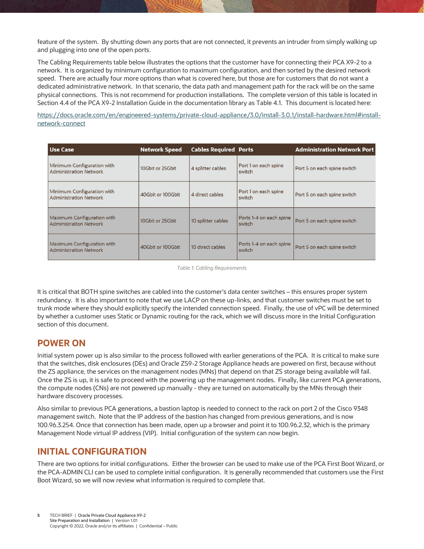feature of the system. By shutting down any ports that are not connected, it prevents an intruder from simply walking up and plugging into one of the open ports.

The Cabling Requirements table below illustrates the options that the customer have for connecting their PCA X9-2 to a network. It is organized by minimum configuration to maximum configuration, and then sorted by the desired network speed. There are actually four more options than what is covered here, but those are for customers that do not want a dedicated administrative network. In that scenario, the data path and management path for the rack will be on the same physical connections. This is not recommend for production installations. The complete version of this table is located in Section 4.4 of the PCA X9-2 Installation Guide in the documentation library as Table 4.1. This document is located here:

[https://docs.oracle.com/en/engineered-systems/private-cloud-appliance/3.0/install-3.0.1/install-hardware.html#install](https://docs.oracle.com/en/engineered-systems/private-cloud-appliance/3.0/install-3.0.1/install-hardware.html#install-network-connect)[network-connect](https://docs.oracle.com/en/engineered-systems/private-cloud-appliance/3.0/install-3.0.1/install-hardware.html#install-network-connect)

| <b>Use Case</b>                                             | <b>Network Speed</b> | <b>Cables Required Ports</b> |                                   | <b>Administration Network Port</b> |
|-------------------------------------------------------------|----------------------|------------------------------|-----------------------------------|------------------------------------|
| Minimum Configuration with<br>Administration Network        | 10Gbit or 25Gbit     | 4 splitter cables            | Port 1 on each spine<br>switch    | Port 5 on each spine switch        |
| Minimum Configuration with<br><b>Administration Network</b> | 40Gbit or 100Gbit    | 4 direct cables              | Port 1 on each spine<br>switch    | Port 5 on each spine switch        |
| Maximum Configuration with<br><b>Administration Network</b> | 10Gbit or 25Gbit     | 10 splitter cables           | Ports 1-4 on each spine<br>switch | Port 5 on each spine switch        |
| Maximum Configuration with<br><b>Administration Network</b> | 40Gbit or 100Gbit    | 10 direct cables             | Ports 1-4 on each spine<br>switch | Port 5 on each spine switch        |

*Table 1: Cabling Requirements*

It is critical that BOTH spine switches are cabled into the customer's data center switches – this ensures proper system redundancy. It is also important to note that we use LACP on these up-links, and that customer switches must be set to trunk mode where they should explicitly specify the intended connection speed. Finally, the use of vPC will be determined by whether a customer uses Static or Dynamic routing for the rack, which we will discuss more in the Initial Configuration section of this document.

#### <span id="page-4-0"></span>**POWER ON**

Initial system power up is also similar to the process followed with earlier generations of the PCA. It is critical to make sure that the switches, disk enclosures (DEs) and Oracle ZS9-2 Storage Appliance heads are powered on first, because without the ZS appliance, the services on the management nodes (MNs) that depend on that ZS storage being available will fail. Once the ZS is up, it is safe to proceed with the powering up the management nodes. Finally, like current PCA generations, the compute nodes (CNs) are not powered up manually - they are turned on automatically by the MNs through their hardware discovery processes.

Also similar to previous PCA generations, a bastion laptop is needed to connect to the rack on port 2 of the Cisco 9348 management switch. Note that the IP address of the bastion has changed from previous generations, and is now 100.96.3.254. Once that connection has been made, open up a browser and point it to 100.96.2.32, which is the primary Management Node virtual IP address (VIP). Initial configuration of the system can now begin.

#### <span id="page-4-1"></span>**INITIAL CONFIGURATION**

There are two options for initial configurations. Either the browser can be used to make use of the PCA First Boot Wizard, or the PCA-ADMIN CLI can be used to complete initial configuration. It is generally recommended that customers use the First Boot Wizard, so we will now review what information is required to complete that.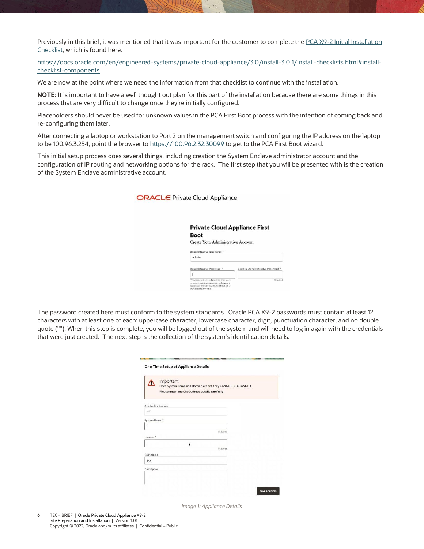Previously in this brief, it was mentioned that it was important for the customer to complete the PCA X9-2 Initial Installation [Checklist,](https://docs.oracle.com/en/engineered-systems/private-cloud-appliance/3.0/install-3.0.1/install-checklists.html#install-checklist-components) which is found here:

[https://docs.oracle.com/en/engineered-systems/private-cloud-appliance/3.0/install-3.0.1/install-checklists.html#install](https://docs.oracle.com/en/engineered-systems/private-cloud-appliance/3.0/install-3.0.1/install-checklists.html#install-checklist-components)[checklist-components](https://docs.oracle.com/en/engineered-systems/private-cloud-appliance/3.0/install-3.0.1/install-checklists.html#install-checklist-components)

We are now at the point where we need the information from that checklist to continue with the installation.

**NOTE:** It is important to have a well thought out plan for this part of the installation because there are some things in this process that are very difficult to change once they're initially configured.

Placeholders should never be used for unknown values in the PCA First Boot process with the intention of coming back and re-configuring them later.

After connecting a laptop or workstation to Port 2 on the management switch and configuring the IP address on the laptop to be 100.96.3.254, point the browser t[o https://100.96.2.32:30099](https://100.96.2.32:30099/) to get to the PCA First Boot wizard.

This initial setup process does several things, including creation the System Enclave administrator account and the configuration of IP routing and networking options for the rack. The first step that you will be presented with is the creation of the System Enclave administrative account.

| <b>ORACLE</b> Private Cloud Appliance |                                                                                       |                                 |
|---------------------------------------|---------------------------------------------------------------------------------------|---------------------------------|
|                                       |                                                                                       |                                 |
|                                       |                                                                                       |                                 |
|                                       |                                                                                       |                                 |
|                                       |                                                                                       |                                 |
|                                       | <b>Private Cloud Appliance First</b>                                                  |                                 |
|                                       | Boot                                                                                  |                                 |
|                                       |                                                                                       |                                 |
|                                       | <b>Create Your Administrative Account</b>                                             |                                 |
|                                       |                                                                                       |                                 |
|                                       | Administrative Username <sup>*</sup>                                                  |                                 |
|                                       | admin                                                                                 |                                 |
|                                       |                                                                                       |                                 |
|                                       | Administrative Password *                                                             | Confirm Administrative Password |
|                                       |                                                                                       |                                 |
|                                       | The password entered must be 12 crimore                                               | Required                        |
|                                       | characters, and must contain at least one<br>uppercase and one lowercase character, a |                                 |
|                                       | number and a sumbol.                                                                  |                                 |

The password created here must conform to the system standards. Oracle PCA X9-2 passwords must contain at least 12 characters with at least one of each: uppercase character, lowercase character, digit, punctuation character, and no double quote ('"'). When this step is complete, you will be logged out of the system and will need to log in again with the credentials that were just created. The next step is the collection of the system's identification details.

|                            | Important<br>Once System Name and Domain are set, they CANNOT BE CHANGED.<br>Please enter and check these details carefully |
|----------------------------|-----------------------------------------------------------------------------------------------------------------------------|
| <b>Availability Domain</b> |                                                                                                                             |
| adl                        |                                                                                                                             |
| System Name <sup>3</sup>   |                                                                                                                             |
|                            |                                                                                                                             |
| Domain <sup>*</sup>        | Required                                                                                                                    |
|                            | T                                                                                                                           |
| <b>Rack Name</b>           | Required                                                                                                                    |
| pca                        |                                                                                                                             |
| Description                |                                                                                                                             |
|                            |                                                                                                                             |

*Image 1: Appliance Details*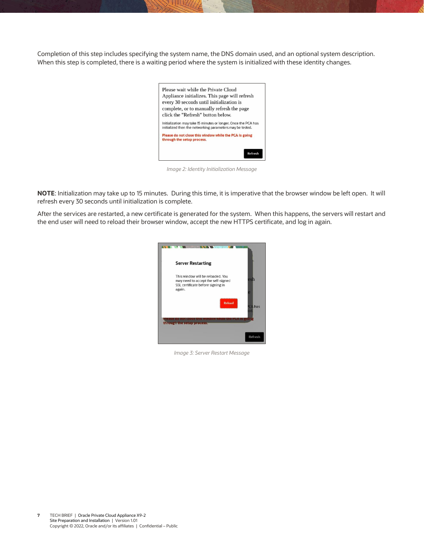Completion of this step includes specifying the system name, the DNS domain used, and an optional system description. When this step is completed, there is a waiting period where the system is initialized with these identity changes.

| Please wait while the Private Cloud<br>Appliance initializes. This page will refresh                                        |
|-----------------------------------------------------------------------------------------------------------------------------|
| every 30 seconds until initialization is                                                                                    |
| complete, or to manually refresh the page                                                                                   |
| click the "Refresh" button below.                                                                                           |
| Initialization may take 15 minutes or longer. Once the PCA has<br>initialized then the networking parameters may be tested. |
| Please do not close this window while the PCA is going<br>through the setup process.                                        |
|                                                                                                                             |
| Refresh                                                                                                                     |

*Image 2: Identity Initialization Message*

**NOTE**: Initialization may take up to 15 minutes. During this time, it is imperative that the browser window be left open. It will refresh every 30 seconds until initialization is complete.

After the services are restarted, a new certificate is generated for the system. When this happens, the servers will restart and the end user will need to reload their browser window, accept the new HTTPS certificate, and log in again.



*Image 3: Server Restart Message*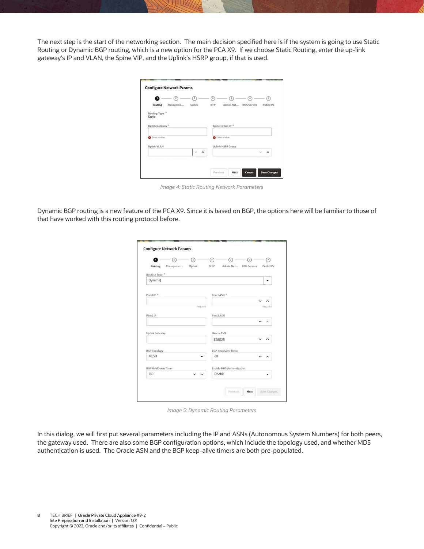The next step is the start of the networking section. The main decision specified here is if the system is going to use Static Routing or Dynamic BGP routing, which is a new option for the PCA X9. If we choose Static Routing, enter the up-link gateway's IP and VLAN, the Spine VIP, and the Uplink's HSRP group, if that is used.

| Ω                        | $\sqrt{2}$ | з                | ×   | ß                        | G                     | F          |
|--------------------------|------------|------------------|-----|--------------------------|-----------------------|------------|
| <b>Routing</b>           | Manageme   | Uplink           | NTP |                          | Admin Net DNS Servers | Public IPs |
| Routing Type *<br>Static |            |                  |     |                          |                       |            |
|                          |            |                  |     |                          |                       |            |
| Uplink Gateway *         |            |                  |     | Spine virtual IP *       |                       |            |
|                          |            |                  |     |                          |                       |            |
| C Enter a value.         |            |                  |     | S Enter a value.         |                       |            |
| <b>Uplink VLAN</b>       |            |                  |     | <b>Uplink HSRP Group</b> |                       |            |
|                          |            | $\sim$<br>$\sim$ |     |                          |                       | ∼          |
|                          |            |                  |     |                          |                       |            |

*Image 4: Static Routing Network Parameters*

Dynamic BGP routing is a new feature of the PCA X9. Since it is based on BGP, the options here will be familiar to those of that have worked with this routing protocol before.

| Uplink<br>Routing<br>Manageme | Admin Net DNS Servers<br><b>NTP</b> | Public IPs |
|-------------------------------|-------------------------------------|------------|
| Routing Type *                |                                     |            |
| Dynamid                       |                                     |            |
|                               |                                     |            |
| Peer1IP <sup>*</sup>          | Peer1 ASN <sup>*</sup>              |            |
|                               | $\check{ }$                         | $\lambda$  |
| Regulred                      |                                     | Required   |
| Peer2 IP                      | Peer2 ASN                           |            |
|                               |                                     |            |
|                               |                                     |            |
| <b>Uplink Gateway</b>         | Oracle ASN                          |            |
|                               | 136025<br>$\checkmark$              |            |
| <b>BGP</b> Topology           | <b>BGP KeepAlive Timer</b>          |            |
| <b>MESH</b>                   | 60                                  | $\sim$     |
| BGP HoldDown Timer            | <b>Enable MD5 Authentication</b>    |            |
| 180<br>$\hat{}$               | Disable                             |            |

*Image 5: Dynamic Routing Parameters*

In this dialog, we will first put several parameters including the IP and ASNs (Autonomous System Numbers) for both peers, the gateway used. There are also some BGP configuration options, which include the topology used, and whether MD5 authentication is used. The Oracle ASN and the BGP keep-alive timers are both pre-populated.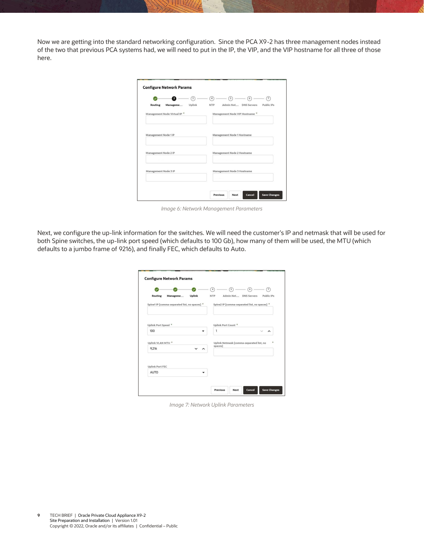Now we are getting into the standard networking configuration. Since the PCA X9-2 has three management nodes instead of the two that previous PCA systems had, we will need to put in the IP, the VIP, and the VIP hostname for all three of those here.

| 2<br>3                                                                          | ß<br>$\overline{4}$<br>$\overline{7}$<br>6<br>Admin Net<br><b>DNS Servers</b><br>Public IPs |
|---------------------------------------------------------------------------------|---------------------------------------------------------------------------------------------|
| <b>Routing</b><br>Uplink<br>Manageme<br>Management Node Virtual IP <sup>*</sup> | <b>NTP</b><br>Management Node VIP Hostname *                                                |
| Management Node 1 IP                                                            | Management Node 1 Hostname                                                                  |
| Management Node 2 IP                                                            | Management Node 2 Hostname                                                                  |
| Management Node 3 IP                                                            | Management Node 3 Hostname                                                                  |

*Image 6: Network Management Parameters*

Next, we configure the up-link information for the switches. We will need the customer's IP and netmask that will be used for both Spine switches, the up-link port speed (which defaults to 100 Gb), how many of them will be used, the MTU (which defaults to a jumbo frame of 9216), and finally FEC, which defaults to Auto.

|                                               |               | $\overline{4}$                 | $\overline{5}$        | 6                                             | 7          |
|-----------------------------------------------|---------------|--------------------------------|-----------------------|-----------------------------------------------|------------|
| Routing<br>Manageme                           | <b>Uplink</b> | <b>NTP</b>                     | Admin Net DNS Servers |                                               | Public IPs |
| Spine1 IP [comma-separated list, no spaces] * |               |                                |                       | Spine2 IP [comma-separated list, no spaces] * |            |
| Uplink Port Speed <sup>*</sup>                |               | Uplink Port Count <sup>*</sup> |                       |                                               |            |
| 100                                           |               | $\overline{1}$                 |                       |                                               |            |
| Uplink VLAN MTU *                             |               | spaces]                        |                       | Uplink Netmask [comma-separated list, no      |            |
| 9,216                                         | ́             |                                |                       |                                               |            |
|                                               |               |                                |                       |                                               |            |
| <b>Uplink Port FEC</b>                        |               |                                |                       |                                               |            |
| <b>AUTO</b>                                   |               |                                |                       |                                               |            |

*Image 7: Network Uplink Parameters*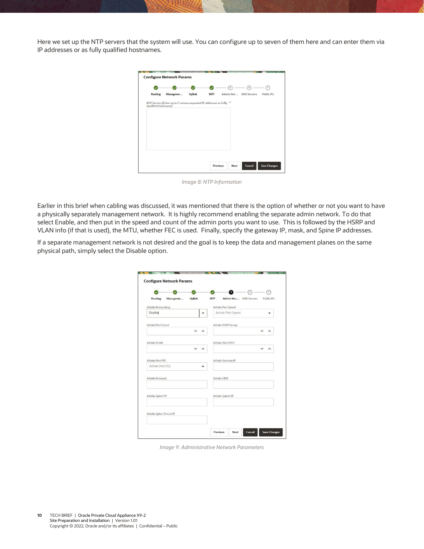Here we set up the NTP servers that the system will use. You can configure up to seven of them here and can enter them via IP addresses or as fully qualified hostnames.

|                            |                                                                    |               |            | 5                     | $\ddot{\circ}$ | $\overline{7}$ |
|----------------------------|--------------------------------------------------------------------|---------------|------------|-----------------------|----------------|----------------|
| <b>Routing</b>             | Manageme                                                           | <b>Uplink</b> | <b>NTP</b> | Admin Net DNS Servers |                | Public IPs     |
| <b>Qualified Hostname)</b> | NTP Servers (Enter up to 7 comma separated IP addresses or Fully * |               |            |                       |                |                |
|                            |                                                                    |               |            |                       |                |                |
|                            |                                                                    |               |            |                       |                |                |
|                            |                                                                    |               |            |                       |                |                |
|                            |                                                                    |               |            |                       |                |                |
|                            |                                                                    |               |            |                       |                |                |
|                            |                                                                    |               |            |                       |                |                |
|                            |                                                                    |               |            |                       |                |                |

*Image 8: NTP Information*

Earlier in this brief when cabling was discussed, it was mentioned that there is the option of whether or not you want to have a physically separately management network. It is highly recommend enabling the separate admin network. To do that select Enable, and then put in the speed and count of the admin ports you want to use. This is followed by the HSRP and VLAN info (if that is used), the MTU, whether FEC is used. Finally, specify the gateway IP, mask, and Spine IP addresses.

If a separate management network is not desired and the goal is to keep the data and management planes on the same physical path, simply select the Disable option.

|                                  |          |        |            | 6                     | $\circ$ | の          |
|----------------------------------|----------|--------|------------|-----------------------|---------|------------|
| Routing                          | Manageme | Uplink | <b>NTP</b> | Admin Net DNS Servers |         | Public IPs |
| Admin Networking                 |          |        |            | Admin Port Speed      |         |            |
| Enable                           |          |        |            | Admin Port Speed      |         |            |
| Admin Port Count                 |          |        |            | Admin HSRP Group      |         |            |
|                                  |          |        |            |                       |         |            |
| Admin VLAN                       |          |        |            | Admin Vlan MTU        |         |            |
|                                  |          |        |            |                       |         |            |
| Admin Port FEC<br>Admin Port FEC |          |        |            | Admin Gateway IP      |         |            |
| <b>Admin Netmask</b>             |          |        |            | Admin CIDR            |         |            |
| Admin Spine1 IP                  |          |        |            | Admin Spine2 IP       |         |            |
| Admin Spine Virtual IP           |          |        |            |                       |         |            |

*Image 9: Administrative Network Parameters*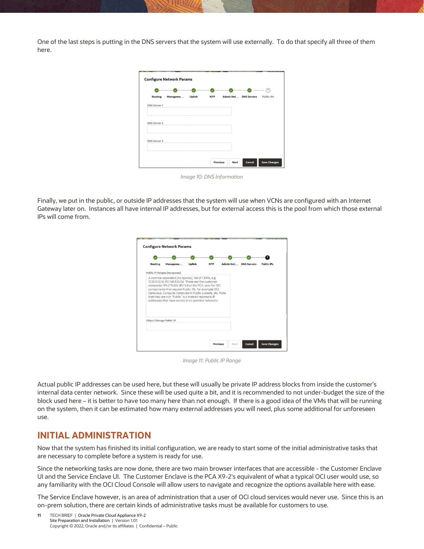One of the last steps is putting in the DNS servers that the system will use externally. To do that specify all three of them here.

|                     |          |        |            |                       | $\mathcal{T}$ |
|---------------------|----------|--------|------------|-----------------------|---------------|
| Routing             | Manageme | Uplink | <b>NTP</b> | Admin Net DNS Servers | Public IPs    |
| <b>DNS Server 1</b> |          |        |            |                       |               |
| <b>DNS Server 2</b> |          |        |            |                       |               |
| <b>DNS Server 3</b> |          |        |            |                       |               |
|                     |          |        |            |                       |               |

*Image 10: DNS Information*

Finally, we put in the public, or outside IP addresses that the system will use when VCNs are configured with an Internet Gateway later on. Instances all have internal IP addresses, but for external access this is the pool from which those external IPs will come from.

| Routing                                             | Manageme                                           | <b>Uplink</b> | <b>NTP</b> | Admin Net | <b>DNS Servers</b> | Public IPs |
|-----------------------------------------------------|----------------------------------------------------|---------------|------------|-----------|--------------------|------------|
|                                                     | Public IP Ranges [no spaces]                       |               |            |           |                    |            |
| that they are not "Public" but instead represent IP |                                                    |               |            |           |                    |            |
| Object Storage Public IP                            | addresses that have access in on premise networks. |               |            |           |                    |            |

*Image 11: Public IP Range*

Actual public IP addresses can be used here, but these will usually be private IP address blocks from inside the customer's internal data center network. Since these will be used quite a bit, and it is recommended to not under-budget the size of the block used here – it is better to have too many here than not enough. If there is a good idea of the VMs that will be running on the system, then it can be estimated how many external addresses you will need, plus some additional for unforeseen use.

#### <span id="page-10-0"></span>**INITIAL ADMINISTRATION**

Now that the system has finished its initial configuration, we are ready to start some of the initial administrative tasks that are necessary to complete before a system is ready for use.

Since the networking tasks are now done, there are two main browser interfaces that are accessible - the Customer Enclave UI and the Service Enclave UI. The Customer Enclave is the PCA X9-2's equivalent of what a typical OCI user would use, so any familiarity with the OCI Cloud Console will allow users to navigate and recognize the options available here with ease.

The Service Enclave however, is an area of administration that a user of OCI cloud services would never use. Since this is an on-prem solution, there are certain kinds of administrative tasks must be available for customers to use.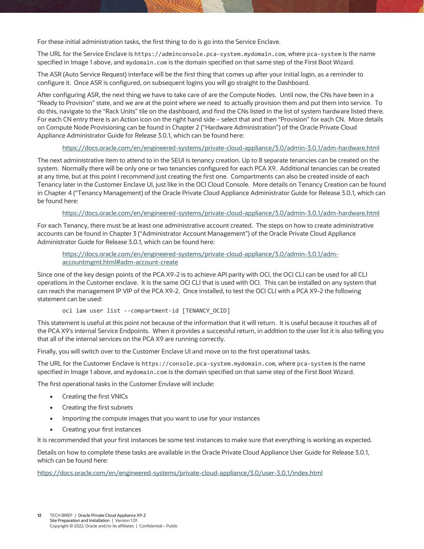For these initial administration tasks, the first thing to do is go into the Service Enclave.

The URL for the Service Enclave is https://adminconsole.pca-system.mydomain.com, where pca-system is the name specified in Image 1 above, and mydomain.com is the domain specified on that same step of the First Boot Wizard.

The ASR (Auto Service Request) interface will be the first thing that comes up after your initial login, as a reminder to configure it. Once ASR is configured, on subsequent logins you will go straight to the Dashboard.

After configuring ASR, the next thing we have to take care of are the Compute Nodes. Until now, the CNs have been in a "Ready to Provision" state, and we are at the point where we need to actually provision them and put them into service. To do this, navigate to the "Rack Units" tile on the dashboard, and find the CNs listed in the list of system hardware listed there. For each CN entry there is an Action icon on the right hand side – select that and then "Provision" for each CN. More details on Compute Node Provisioning can be found in Chapter 2 ("Hardware Administration") of the Oracle Private Cloud Appliance Administrator Guide for Release 3.0.1, which can be found here:

#### <https://docs.oracle.com/en/engineered-systems/private-cloud-appliance/3.0/admin-3.0.1/adm-hardware.html>

The next administrative item to attend to in the SEUI is tenancy creation. Up to 8 separate tenancies can be created on the system. Normally there will be only one or two tenancies configured for each PCA X9. Additional tenancies can be created at any time, but at this point I recommend just creating the first one. Compartments can also be created inside of each Tenancy later in the Customer Enclave UI, just like in the OCI Cloud Console. More details on Tenancy Creation can be found in Chapter 4 ("Tenancy Management) of the Oracle Private Cloud Appliance Administrator Guide for Release 3.0.1, which can be found here:

#### <https://docs.oracle.com/en/engineered-systems/private-cloud-appliance/3.0/admin-3.0.1/adm-hardware.html>

For each Tenancy, there must be at least one administrative account created. The steps on how to create administrative accounts can be found in Chapter 3 ("Administrator Account Management") of the Oracle Private Cloud Appliance Administrator Guide for Release 3.0.1, which can be found here:

[https://docs.oracle.com/en/engineered-systems/private-cloud-appliance/3.0/admin-3.0.1/adm](https://docs.oracle.com/en/engineered-systems/private-cloud-appliance/3.0/admin-3.0.1/adm-accountmgmt.html#adm-account-create)[accountmgmt.html#adm-account-create](https://docs.oracle.com/en/engineered-systems/private-cloud-appliance/3.0/admin-3.0.1/adm-accountmgmt.html#adm-account-create)

Since one of the key design points of the PCA X9-2 is to achieve API parity with OCI, the OCI CLI can be used for all CLI operations in the Customer enclave. It is the same OCI CLI that is used with OCI. This can be installed on any system that can reach the management IP VIP of the PCA X9-2. Once installed, to test the OCI CLI with a PCA X9-2 the following statement can be used:

oci iam user list --compartment-id [TENANCY\_OCID]

This statement is useful at this point not because of the information that it will return. It is useful because it touches all of the PCA X9's internal Service Endpoints. When it provides a successful return, in addition to the user list it is also telling you that all of the internal services on the PCA X9 are running correctly.

Finally, you will switch over to the Customer Enclave UI and move on to the first operational tasks.

The URL for the Customer Enclave is https://console.pca-system.mydomain.com, where pca-system is the name specified in Image 1 above, and mydomain.com is the domain specified on that same step of the First Boot Wizard.

The first operational tasks in the Customer Envlave will include:

- Creating the first VNICs
- Creating the first subnets
- Importing the compute images that you want to use for your instances
- Creating your first instances

It is recommended that your first instances be some test instances to make sure that everything is working as expected.

Details on how to complete these tasks are available in the Oracle Private Cloud Appliance User Guide for Release 3.0.1, which can be found here:

<span id="page-11-0"></span><https://docs.oracle.com/en/engineered-systems/private-cloud-appliance/3.0/user-3.0.1/index.html>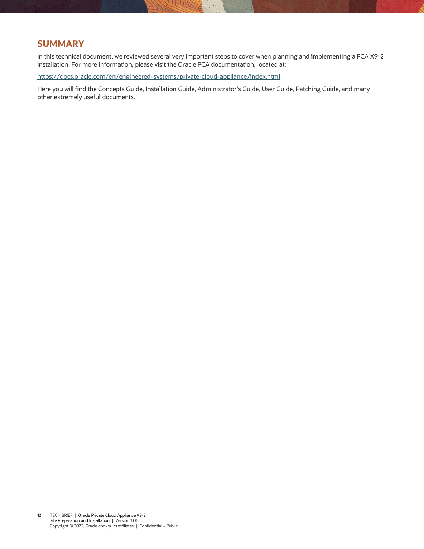#### **SUMMARY**

In this technical document, we reviewed several very important steps to cover when planning and implementing a PCA X9-2 installation. For more information, please visit the Oracle PCA documentation, located at:

<https://docs.oracle.com/en/engineered-systems/private-cloud-appliance/index.html>

Here you will find the Concepts Guide, Installation Guide, Administrator's Guide, User Guide, Patching Guide, and many other extremely useful documents.